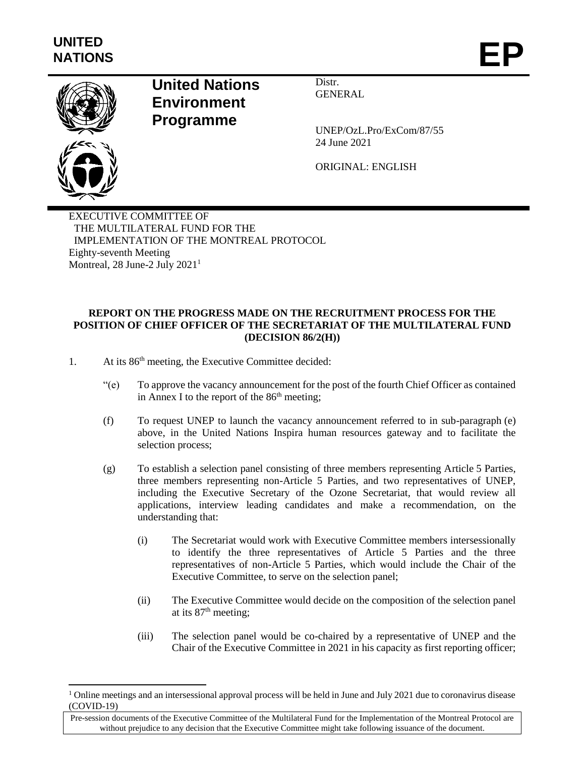

l

# **United Nations Environment Programme**

Distr. GENERAL

UNEP/OzL.Pro/ExCom/87/55 24 June 2021

ORIGINAL: ENGLISH

EXECUTIVE COMMITTEE OF THE MULTILATERAL FUND FOR THE IMPLEMENTATION OF THE MONTREAL PROTOCOL Eighty-seventh Meeting Montreal, 28 June-2 July 2021<sup>1</sup>

#### **REPORT ON THE PROGRESS MADE ON THE RECRUITMENT PROCESS FOR THE POSITION OF CHIEF OFFICER OF THE SECRETARIAT OF THE MULTILATERAL FUND (DECISION 86/2(H))**

- 1. At its 86th meeting, the Executive Committee decided:
	- "(e) To approve the vacancy announcement for the post of the fourth Chief Officer as contained in Annex I to the report of the  $86<sup>th</sup>$  meeting;
	- (f) To request UNEP to launch the vacancy announcement referred to in sub-paragraph (e) above, in the United Nations Inspira human resources gateway and to facilitate the selection process;
	- (g) To establish a selection panel consisting of three members representing Article 5 Parties, three members representing non-Article 5 Parties, and two representatives of UNEP, including the Executive Secretary of the Ozone Secretariat, that would review all applications, interview leading candidates and make a recommendation, on the understanding that:
		- (i) The Secretariat would work with Executive Committee members intersessionally to identify the three representatives of Article 5 Parties and the three representatives of non-Article 5 Parties, which would include the Chair of the Executive Committee, to serve on the selection panel;
		- (ii) The Executive Committee would decide on the composition of the selection panel at its  $87<sup>th</sup>$  meeting:
		- (iii) The selection panel would be co-chaired by a representative of UNEP and the Chair of the Executive Committee in 2021 in his capacity as first reporting officer;

 $1$  Online meetings and an intersessional approval process will be held in June and July 2021 due to coronavirus disease (COVID-19)

Pre-session documents of the Executive Committee of the Multilateral Fund for the Implementation of the Montreal Protocol are without prejudice to any decision that the Executive Committee might take following issuance of the document.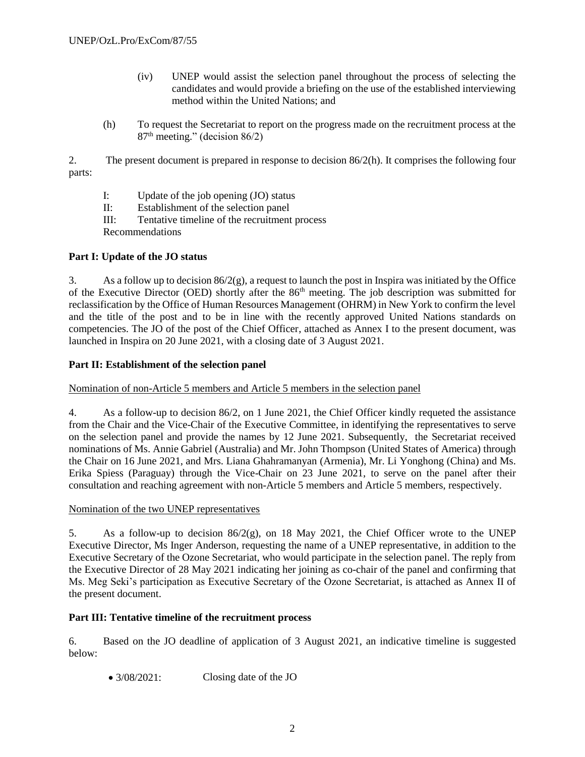- (iv) UNEP would assist the selection panel throughout the process of selecting the candidates and would provide a briefing on the use of the established interviewing method within the United Nations; and
- (h) To request the Secretariat to report on the progress made on the recruitment process at the  $87<sup>th</sup>$  meeting." (decision  $86/2$ )

2. The present document is prepared in response to decision 86/2(h). It comprises the following four parts:

- I: Update of the job opening (JO) status
- II: Establishment of the selection panel

III: Tentative timeline of the recruitment process

Recommendations

#### **Part I: Update of the JO status**

3. As a follow up to decision  $86/2(g)$ , a request to launch the post in Inspira was initiated by the Office of the Executive Director (OED) shortly after the 86<sup>th</sup> meeting. The job description was submitted for reclassification by the Office of Human Resources Management (OHRM) in New York to confirm the level and the title of the post and to be in line with the recently approved United Nations standards on competencies. The JO of the post of the Chief Officer, attached as Annex I to the present document, was launched in Inspira on 20 June 2021, with a closing date of 3 August 2021.

#### **Part II: Establishment of the selection panel**

Nomination of non-Article 5 members and Article 5 members in the selection panel

4. As a follow-up to decision 86/2, on 1 June 2021, the Chief Officer kindly requeted the assistance from the Chair and the Vice-Chair of the Executive Committee, in identifying the representatives to serve on the selection panel and provide the names by 12 June 2021. Subsequently, the Secretariat received nominations of Ms. Annie Gabriel (Australia) and Mr. John Thompson (United States of America) through the Chair on 16 June 2021, and Mrs. Liana Ghahramanyan (Armenia), Mr. Li Yonghong (China) and Ms. Erika Spiess (Paraguay) through the Vice-Chair on 23 June 2021, to serve on the panel after their consultation and reaching agreement with non-Article 5 members and Article 5 members, respectively.

#### Nomination of the two UNEP representatives

5. As a follow-up to decision  $86/2(g)$ , on 18 May 2021, the Chief Officer wrote to the UNEP Executive Director, Ms Inger Anderson, requesting the name of a UNEP representative, in addition to the Executive Secretary of the Ozone Secretariat, who would participate in the selection panel. The reply from the Executive Director of 28 May 2021 indicating her joining as co-chair of the panel and confirming that Ms. Meg Seki's participation as Executive Secretary of the Ozone Secretariat, is attached as Annex II of the present document.

### **Part III: Tentative timeline of the recruitment process**

6. Based on the JO deadline of application of 3 August 2021, an indicative timeline is suggested below:

• 3/08/2021: Closing date of the JO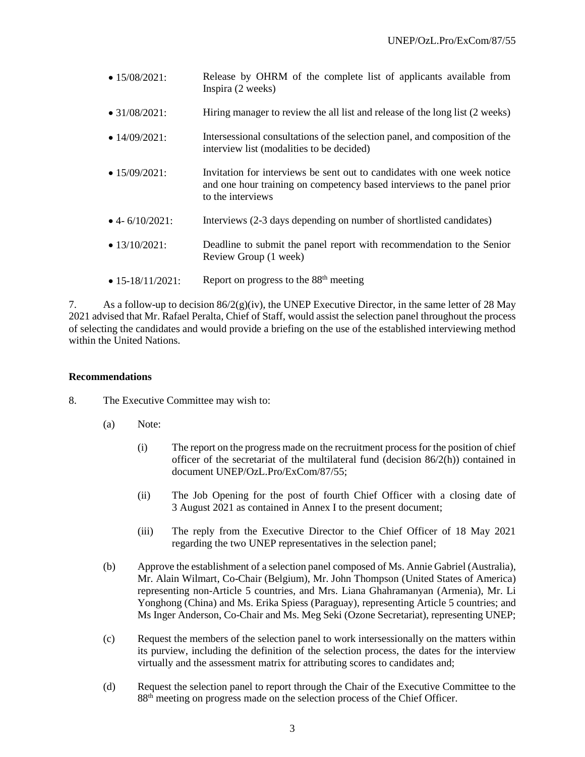| $\bullet$ 15/08/2021:    | Release by OHRM of the complete list of applicants available from<br>Inspira (2 weeks)                                                                                   |
|--------------------------|--------------------------------------------------------------------------------------------------------------------------------------------------------------------------|
| $\bullet$ 31/08/2021:    | Hiring manager to review the all list and release of the long list (2 weeks)                                                                                             |
| $\bullet$ 14/09/2021:    | Intersessional consultations of the selection panel, and composition of the<br>interview list (modalities to be decided)                                                 |
| $\bullet$ 15/09/2021:    | Invitation for interviews be sent out to candidates with one week notice<br>and one hour training on competency based interviews to the panel prior<br>to the interviews |
| $\bullet$ 4-6/10/2021:   | Interviews (2-3 days depending on number of shortlisted candidates)                                                                                                      |
| $\bullet$ 13/10/2021:    | Deadline to submit the panel report with recommendation to the Senior<br>Review Group (1 week)                                                                           |
| $\bullet$ 15-18/11/2021: | Report on progress to the 88 <sup>th</sup> meeting                                                                                                                       |

7. As a follow-up to decision  $86/2(g)(iv)$ , the UNEP Executive Director, in the same letter of 28 May 2021 advised that Mr. Rafael Peralta, Chief of Staff, would assist the selection panel throughout the process of selecting the candidates and would provide a briefing on the use of the established interviewing method within the United Nations.

#### **Recommendations**

- 8. The Executive Committee may wish to:
	- (a) Note:
		- (i) The report on the progress made on the recruitment process for the position of chief officer of the secretariat of the multilateral fund (decision  $86/2(h)$ ) contained in document UNEP/OzL.Pro/ExCom/87/55;
		- (ii) The Job Opening for the post of fourth Chief Officer with a closing date of 3 August 2021 as contained in Annex I to the present document;
		- (iii) The reply from the Executive Director to the Chief Officer of 18 May 2021 regarding the two UNEP representatives in the selection panel;
	- (b) Approve the establishment of a selection panel composed of Ms. Annie Gabriel (Australia), Mr. Alain Wilmart, Co-Chair (Belgium), Mr. John Thompson (United States of America) representing non-Article 5 countries, and Mrs. Liana Ghahramanyan (Armenia), Mr. Li Yonghong (China) and Ms. Erika Spiess (Paraguay), representing Article 5 countries; and Ms Inger Anderson, Co-Chair and Ms. Meg Seki (Ozone Secretariat), representing UNEP;
	- (c) Request the members of the selection panel to work intersessionally on the matters within its purview, including the definition of the selection process, the dates for the interview virtually and the assessment matrix for attributing scores to candidates and;
	- (d) Request the selection panel to report through the Chair of the Executive Committee to the 88th meeting on progress made on the selection process of the Chief Officer.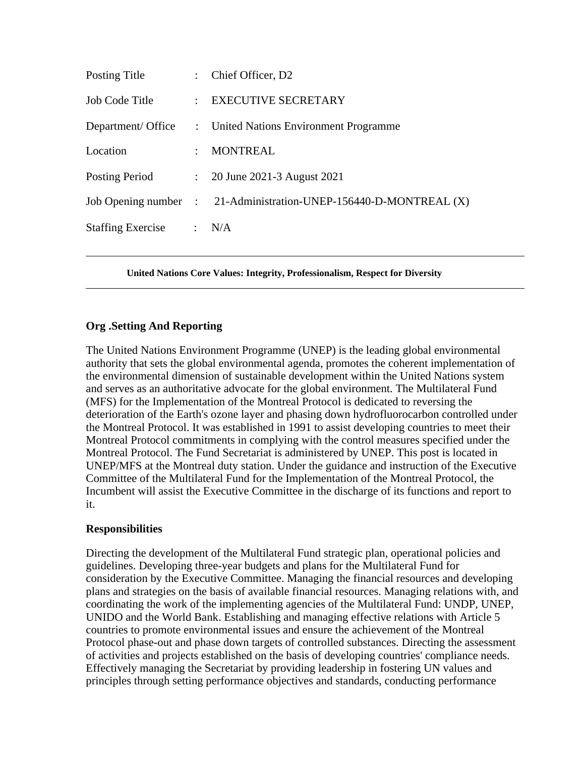| Posting Title           |                      | : Chief Officer, $D2$                                             |
|-------------------------|----------------------|-------------------------------------------------------------------|
| Job Code Title          | $\mathcal{L}$        | <b>EXECUTIVE SECRETARY</b>                                        |
| Department/ Office      |                      | : United Nations Environment Programme                            |
| Location                | $\ddot{\phantom{a}}$ | <b>MONTREAL</b>                                                   |
| Posting Period          |                      | $\therefore$ 20 June 2021-3 August 2021                           |
|                         |                      | Job Opening number : 21-Administration-UNEP-156440-D-MONTREAL (X) |
| Staffing Exercise : N/A |                      |                                                                   |

 **United Nations Core Values: Integrity, Professionalism, Respect for Diversity**

# **Org .Setting And Reporting**

The United Nations Environment Programme (UNEP) is the leading global environmental authority that sets the global environmental agenda, promotes the coherent implementation of the environmental dimension of sustainable development within the United Nations system and serves as an authoritative advocate for the global environment. The Multilateral Fund (MFS) for the Implementation of the Montreal Protocol is dedicated to reversing the deterioration of the Earth's ozone layer and phasing down hydrofluorocarbon controlled under the Montreal Protocol. It was established in 1991 to assist developing countries to meet their Montreal Protocol commitments in complying with the control measures specified under the Montreal Protocol. The Fund Secretariat is administered by UNEP. This post is located in UNEP/MFS at the Montreal duty station. Under the guidance and instruction of the Executive Committee of the Multilateral Fund for the Implementation of the Montreal Protocol, the Incumbent will assist the Executive Committee in the discharge of its functions and report to it.

# **Responsibilities**

Directing the development of the Multilateral Fund strategic plan, operational policies and guidelines. Developing three-year budgets and plans for the Multilateral Fund for consideration by the Executive Committee. Managing the financial resources and developing plans and strategies on the basis of available financial resources. Managing relations with, and coordinating the work of the implementing agencies of the Multilateral Fund: UNDP, UNEP, UNIDO and the World Bank. Establishing and managing effective relations with Article 5 countries to promote environmental issues and ensure the achievement of the Montreal Protocol phase-out and phase down targets of controlled substances. Directing the assessment of activities and projects established on the basis of developing countries' compliance needs. Effectively managing the Secretariat by providing leadership in fostering UN values and principles through setting performance objectives and standards, conducting performance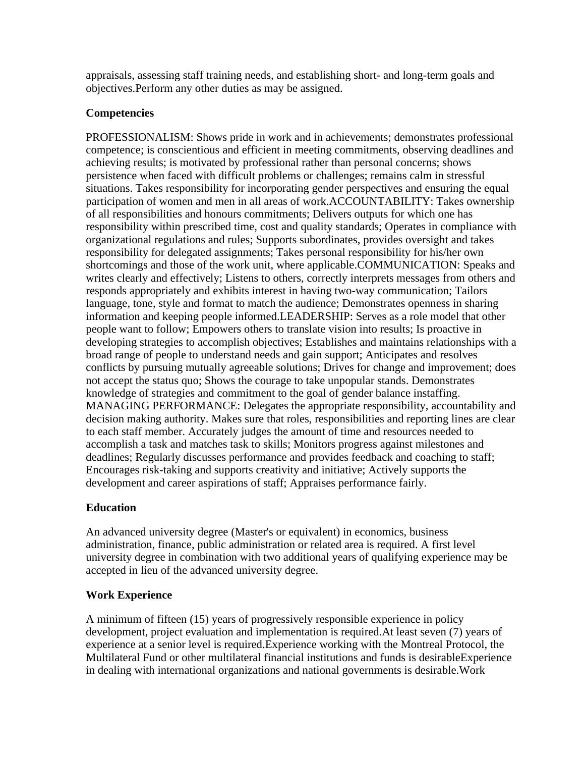appraisals, assessing staff training needs, and establishing short- and long-term goals and objectives.Perform any other duties as may be assigned.

# **Competencies**

PROFESSIONALISM: Shows pride in work and in achievements; demonstrates professional competence; is conscientious and efficient in meeting commitments, observing deadlines and achieving results; is motivated by professional rather than personal concerns; shows persistence when faced with difficult problems or challenges; remains calm in stressful situations. Takes responsibility for incorporating gender perspectives and ensuring the equal participation of women and men in all areas of work.ACCOUNTABILITY: Takes ownership of all responsibilities and honours commitments; Delivers outputs for which one has responsibility within prescribed time, cost and quality standards; Operates in compliance with organizational regulations and rules; Supports subordinates, provides oversight and takes responsibility for delegated assignments; Takes personal responsibility for his/her own shortcomings and those of the work unit, where applicable.COMMUNICATION: Speaks and writes clearly and effectively; Listens to others, correctly interprets messages from others and responds appropriately and exhibits interest in having two-way communication; Tailors language, tone, style and format to match the audience; Demonstrates openness in sharing information and keeping people informed.LEADERSHIP: Serves as a role model that other people want to follow; Empowers others to translate vision into results; Is proactive in developing strategies to accomplish objectives; Establishes and maintains relationships with a broad range of people to understand needs and gain support; Anticipates and resolves conflicts by pursuing mutually agreeable solutions; Drives for change and improvement; does not accept the status quo; Shows the courage to take unpopular stands. Demonstrates knowledge of strategies and commitment to the goal of gender balance instaffing. MANAGING PERFORMANCE: Delegates the appropriate responsibility, accountability and decision making authority. Makes sure that roles, responsibilities and reporting lines are clear to each staff member. Accurately judges the amount of time and resources needed to accomplish a task and matches task to skills; Monitors progress against milestones and deadlines; Regularly discusses performance and provides feedback and coaching to staff; Encourages risk-taking and supports creativity and initiative; Actively supports the development and career aspirations of staff; Appraises performance fairly.

# **Education**

An advanced university degree (Master's or equivalent) in economics, business administration, finance, public administration or related area is required. A first level university degree in combination with two additional years of qualifying experience may be accepted in lieu of the advanced university degree.

# **Work Experience**

A minimum of fifteen (15) years of progressively responsible experience in policy development, project evaluation and implementation is required.At least seven (7) years of experience at a senior level is required.Experience working with the Montreal Protocol, the Multilateral Fund or other multilateral financial institutions and funds is desirableExperience in dealing with international organizations and national governments is desirable.Work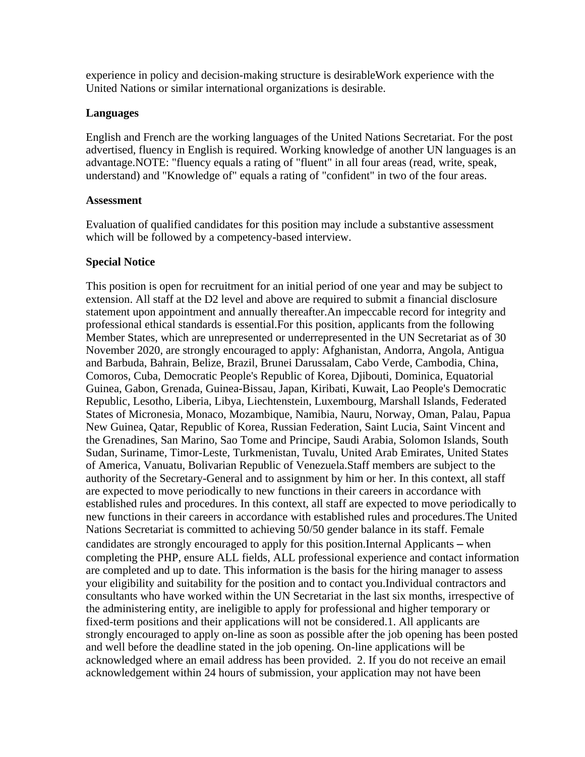experience in policy and decision-making structure is desirableWork experience with the United Nations or similar international organizations is desirable.

### **Languages**

English and French are the working languages of the United Nations Secretariat. For the post advertised, fluency in English is required. Working knowledge of another UN languages is an advantage.NOTE: "fluency equals a rating of "fluent" in all four areas (read, write, speak, understand) and "Knowledge of" equals a rating of "confident" in two of the four areas.

### **Assessment**

Evaluation of qualified candidates for this position may include a substantive assessment which will be followed by a competency-based interview.

### **Special Notice**

This position is open for recruitment for an initial period of one year and may be subject to extension. All staff at the D2 level and above are required to submit a financial disclosure statement upon appointment and annually thereafter.An impeccable record for integrity and professional ethical standards is essential.For this position, applicants from the following Member States, which are unrepresented or underrepresented in the UN Secretariat as of 30 November 2020, are strongly encouraged to apply: Afghanistan, Andorra, Angola, Antigua and Barbuda, Bahrain, Belize, Brazil, Brunei Darussalam, Cabo Verde, Cambodia, China, Comoros, Cuba, Democratic People's Republic of Korea, Djibouti, Dominica, Equatorial Guinea, Gabon, Grenada, Guinea-Bissau, Japan, Kiribati, Kuwait, Lao People's Democratic Republic, Lesotho, Liberia, Libya, Liechtenstein, Luxembourg, Marshall Islands, Federated States of Micronesia, Monaco, Mozambique, Namibia, Nauru, Norway, Oman, Palau, Papua New Guinea, Qatar, Republic of Korea, Russian Federation, Saint Lucia, Saint Vincent and the Grenadines, San Marino, Sao Tome and Principe, Saudi Arabia, Solomon Islands, South Sudan, Suriname, Timor-Leste, Turkmenistan, Tuvalu, United Arab Emirates, United States of America, Vanuatu, Bolivarian Republic of Venezuela.Staff members are subject to the authority of the Secretary-General and to assignment by him or her. In this context, all staff are expected to move periodically to new functions in their careers in accordance with established rules and procedures. In this context, all staff are expected to move periodically to new functions in their careers in accordance with established rules and procedures.The United Nations Secretariat is committed to achieving 50/50 gender balance in its staff. Female candidates are strongly encouraged to apply for this position.Internal Applicants – when completing the PHP, ensure ALL fields, ALL professional experience and contact information are completed and up to date. This information is the basis for the hiring manager to assess your eligibility and suitability for the position and to contact you.Individual contractors and consultants who have worked within the UN Secretariat in the last six months, irrespective of the administering entity, are ineligible to apply for professional and higher temporary or fixed-term positions and their applications will not be considered.1. All applicants are strongly encouraged to apply on-line as soon as possible after the job opening has been posted and well before the deadline stated in the job opening. On-line applications will be acknowledged where an email address has been provided. 2. If you do not receive an email acknowledgement within 24 hours of submission, your application may not have been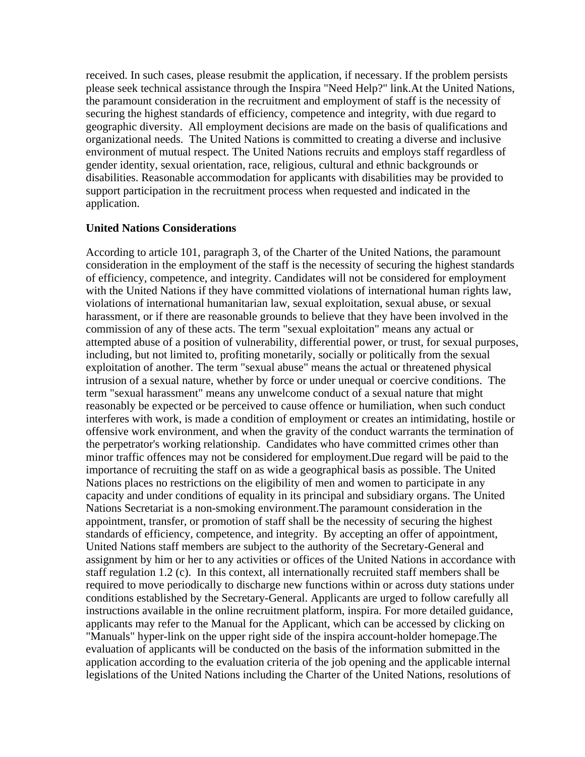received. In such cases, please resubmit the application, if necessary. If the problem persists please seek technical assistance through the Inspira "Need Help?" link.At the United Nations, the paramount consideration in the recruitment and employment of staff is the necessity of securing the highest standards of efficiency, competence and integrity, with due regard to geographic diversity. All employment decisions are made on the basis of qualifications and organizational needs. The United Nations is committed to creating a diverse and inclusive environment of mutual respect. The United Nations recruits and employs staff regardless of gender identity, sexual orientation, race, religious, cultural and ethnic backgrounds or disabilities. Reasonable accommodation for applicants with disabilities may be provided to support participation in the recruitment process when requested and indicated in the application.

### **United Nations Considerations**

According to article 101, paragraph 3, of the Charter of the United Nations, the paramount consideration in the employment of the staff is the necessity of securing the highest standards of efficiency, competence, and integrity. Candidates will not be considered for employment with the United Nations if they have committed violations of international human rights law, violations of international humanitarian law, sexual exploitation, sexual abuse, or sexual harassment, or if there are reasonable grounds to believe that they have been involved in the commission of any of these acts. The term "sexual exploitation" means any actual or attempted abuse of a position of vulnerability, differential power, or trust, for sexual purposes, including, but not limited to, profiting monetarily, socially or politically from the sexual exploitation of another. The term "sexual abuse" means the actual or threatened physical intrusion of a sexual nature, whether by force or under unequal or coercive conditions. The term "sexual harassment" means any unwelcome conduct of a sexual nature that might reasonably be expected or be perceived to cause offence or humiliation, when such conduct interferes with work, is made a condition of employment or creates an intimidating, hostile or offensive work environment, and when the gravity of the conduct warrants the termination of the perpetrator's working relationship. Candidates who have committed crimes other than minor traffic offences may not be considered for employment.Due regard will be paid to the importance of recruiting the staff on as wide a geographical basis as possible. The United Nations places no restrictions on the eligibility of men and women to participate in any capacity and under conditions of equality in its principal and subsidiary organs. The United Nations Secretariat is a non-smoking environment.The paramount consideration in the appointment, transfer, or promotion of staff shall be the necessity of securing the highest standards of efficiency, competence, and integrity. By accepting an offer of appointment, United Nations staff members are subject to the authority of the Secretary-General and assignment by him or her to any activities or offices of the United Nations in accordance with staff regulation 1.2 (c). In this context, all internationally recruited staff members shall be required to move periodically to discharge new functions within or across duty stations under conditions established by the Secretary-General. Applicants are urged to follow carefully all instructions available in the online recruitment platform, inspira. For more detailed guidance, applicants may refer to the Manual for the Applicant, which can be accessed by clicking on "Manuals" hyper-link on the upper right side of the inspira account-holder homepage.The evaluation of applicants will be conducted on the basis of the information submitted in the application according to the evaluation criteria of the job opening and the applicable internal legislations of the United Nations including the Charter of the United Nations, resolutions of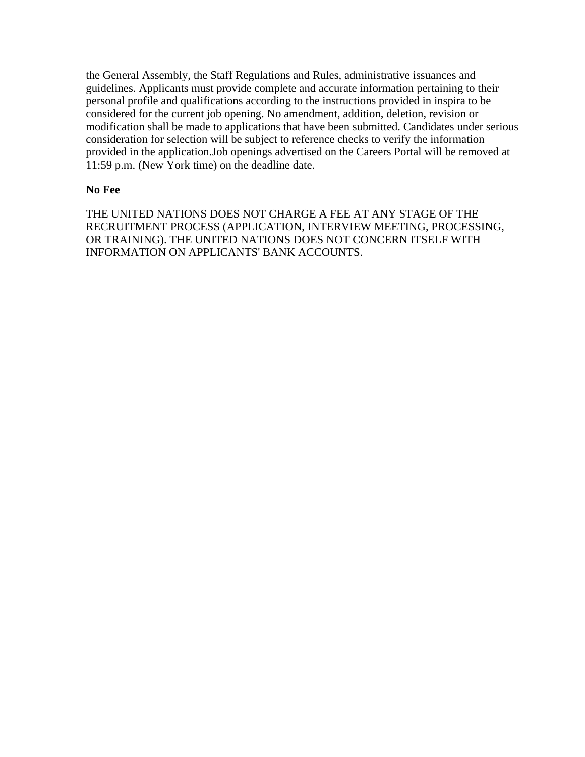the General Assembly, the Staff Regulations and Rules, administrative issuances and guidelines. Applicants must provide complete and accurate information pertaining to their personal profile and qualifications according to the instructions provided in inspira to be considered for the current job opening. No amendment, addition, deletion, revision or modification shall be made to applications that have been submitted. Candidates under serious consideration for selection will be subject to reference checks to verify the information provided in the application.Job openings advertised on the Careers Portal will be removed at 11:59 p.m. (New York time) on the deadline date.

### **No Fee**

THE UNITED NATIONS DOES NOT CHARGE A FEE AT ANY STAGE OF THE RECRUITMENT PROCESS (APPLICATION, INTERVIEW MEETING, PROCESSING, OR TRAINING). THE UNITED NATIONS DOES NOT CONCERN ITSELF WITH INFORMATION ON APPLICANTS' BANK ACCOUNTS.